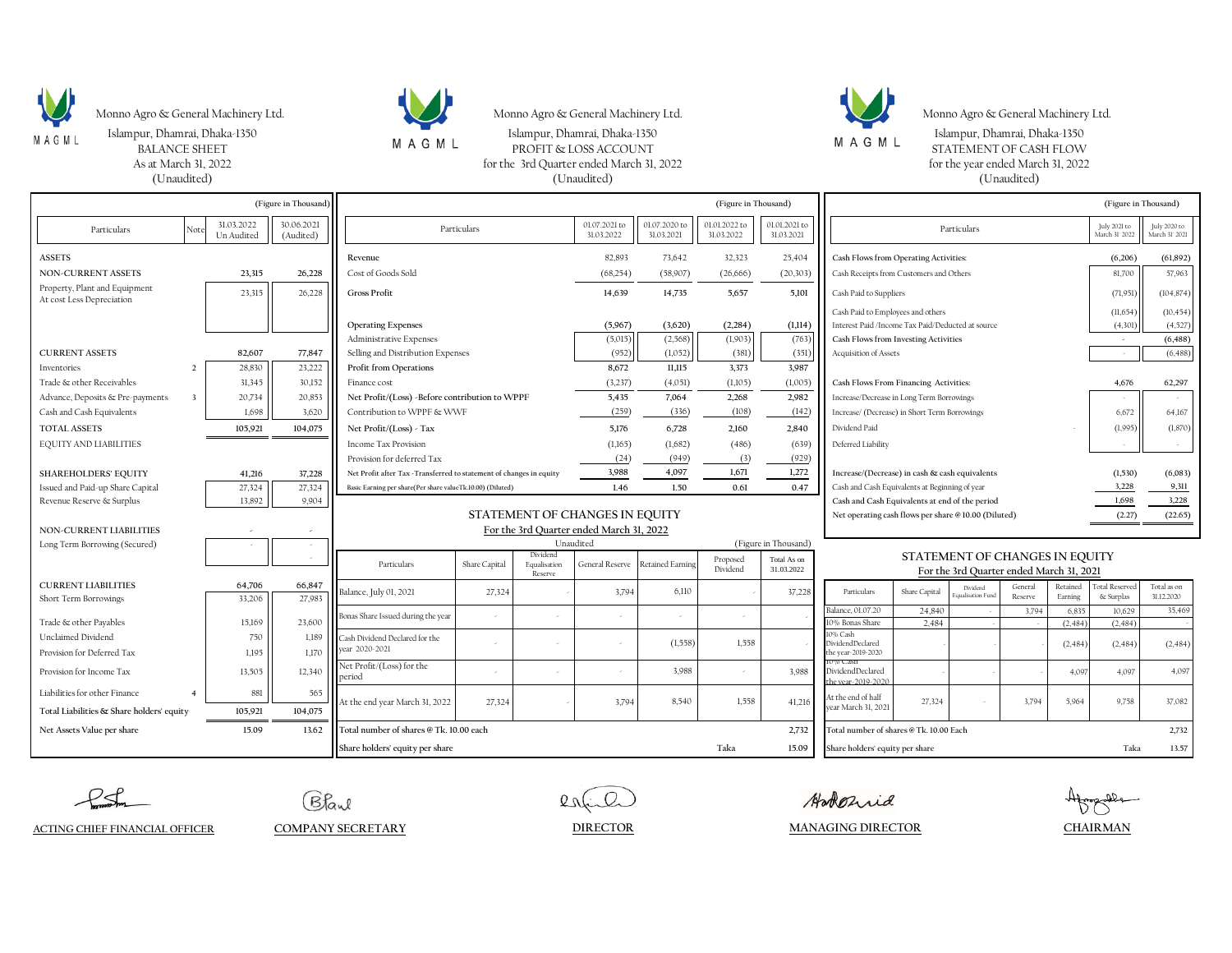

Monno Agro & General Machinery Ltd. Monno Agro & General Machinery Ltd. Monno Agro & General Machinery Ltd. Monno Agro & General Machinery Ltd.

As at March 31, 2022



Islampur, Dhamrai, Dhaka-1350 Islampur, Dhamrai, Dhaka-1350 Islampur, Dhamrai, Dhaka-1350 Islampur, Dhamrai, Dhaka-1350 Islampur, Dhamrai, Dhaka-1350 Islampur, Dhamrai, Dhaka-1350 Islampur, Dhamrai, Dhaka-1350 Islampur, Dh STATEMENT OF CASH FLOW

for the 3rd Quarter ended March 31, 2022 for the year ended March 31, 2022 (Unaudited) (Unaudited) (Unaudited)

| (Figure in Thousand)                                       |                                                           |                          |                         | (Figure in Thousand)                                                                                                                            |        |          |                             |                                                                            |                             | (Figure in Thousand)                                |                                                   |               |                              |                    |                                |                                |                           |
|------------------------------------------------------------|-----------------------------------------------------------|--------------------------|-------------------------|-------------------------------------------------------------------------------------------------------------------------------------------------|--------|----------|-----------------------------|----------------------------------------------------------------------------|-----------------------------|-----------------------------------------------------|---------------------------------------------------|---------------|------------------------------|--------------------|--------------------------------|--------------------------------|---------------------------|
| Particulars                                                | Note                                                      | 31.03.2022<br>Un Audited | 30.06.2021<br>(Audited) | Particulars                                                                                                                                     |        |          | 01.07.2021 to<br>31.03.2022 | 01.07.2020 to<br>31.03.2021                                                | 01.01.2022 to<br>31.03.2022 | 01.01.2021 to<br>31.03.2021                         | Particulars                                       |               |                              |                    | July 2021 to<br>March 31' 2022 | July 2020 to<br>March 31' 2021 |                           |
| <b>ASSETS</b>                                              |                                                           |                          |                         | Revenue                                                                                                                                         |        |          | 82.893                      | 73.642                                                                     | 32,323                      | 25,404                                              | Cash Flows from Operating Activities:             |               |                              |                    |                                | (6,206)                        | (61, 892)                 |
| <b>NON-CURRENT ASSETS</b>                                  |                                                           | 23.315                   | 26,228                  | Cost of Goods Sold                                                                                                                              |        |          | (68, 254)                   | (58,907)                                                                   | (26, 666)                   | (20, 303)                                           | Cash Receipts from Customers and Others           |               |                              |                    |                                | 81,700                         | 57,963                    |
| Property, Plant and Equipment<br>At cost Less Depreciation |                                                           | 23,315                   | 26,228                  | <b>Gross Profit</b>                                                                                                                             |        |          | 14,639                      | 14,735                                                                     | 5,657                       | 5,101                                               | Cash Paid to Suppliers                            |               |                              |                    |                                | (71, 951)                      | (104, 874)                |
|                                                            |                                                           |                          |                         |                                                                                                                                                 |        |          |                             |                                                                            |                             |                                                     | Cash Paid to Employees and others                 |               |                              |                    |                                | (11,654)                       | (10, 454)                 |
|                                                            |                                                           |                          |                         | <b>Operating Expenses</b>                                                                                                                       |        |          | (5,967)                     | (3,620)                                                                    | (2, 284)                    | (1, 114)                                            | Interest Paid /Income Tax Paid/Deducted at source |               |                              |                    |                                | (4, 301)                       | (4,527)                   |
|                                                            |                                                           |                          |                         | Administrative Expenses                                                                                                                         |        |          | (5,015)                     | (2, 568)                                                                   | (1,903)                     | (763)                                               | Cash Flows from Investing Activities              |               |                              |                    |                                | $\omega$                       | (6, 488)                  |
| <b>CURRENT ASSETS</b>                                      |                                                           | 82,607                   | 77,847                  | Selling and Distribution Expenses                                                                                                               |        |          | (952)                       | (1,052)                                                                    | (381)                       | (351)                                               | Acquisition of Assets                             |               |                              |                    |                                | (6, 488)                       |                           |
| Inventories                                                |                                                           | 28,830                   | 23,222                  | Profit from Operations                                                                                                                          |        |          | 8,672                       | 11,115                                                                     | 3,373                       | 3,987                                               |                                                   |               |                              |                    |                                |                                |                           |
| Trade & other Receivables                                  |                                                           | 31.345                   | 30,152                  | Finance cost                                                                                                                                    |        |          | (3,237)                     | (4,051)                                                                    | (1,105)                     | (1,005)                                             | Cash Flows From Financing Activities:             |               |                              |                    |                                | 4,676                          | 62,297                    |
| Advance, Deposits & Pre-payments                           | $\overline{\mathbf{3}}$                                   | 20,734                   | 20,853                  | Net Profit/(Loss) -Before contribution to WPPF                                                                                                  |        |          | 5,435                       | 7,064                                                                      | 2,268                       | 2,982                                               | Increase/Decrease in Long Term Borrowings         |               |                              |                    |                                |                                |                           |
| Cash and Cash Equivalents                                  |                                                           | 1.698                    | 3,620                   | Contribution to WPPF & WWF                                                                                                                      |        |          | (259)                       | (336)                                                                      | (108)                       | (142)                                               | Increase/ (Decrease) in Short Term Borrowings     |               |                              |                    | 6,672                          | 64,167                         |                           |
| <b>TOTAL ASSETS</b>                                        |                                                           | 105.921                  | 104,075                 | Net Profit/(Loss) - Tax                                                                                                                         |        |          | 5.176                       | 6.728                                                                      | 2.160                       | 2,840                                               | Dividend Paid                                     |               |                              |                    | (1,995)                        | (1,870)                        |                           |
| <b>EQUITY AND LIABILITIES</b>                              |                                                           |                          |                         | Income Tax Provision                                                                                                                            |        |          | (1,165)                     | (1,682)                                                                    | (486)                       | (639)                                               | Deferred Liability                                |               |                              |                    |                                |                                | $\sim$                    |
|                                                            |                                                           |                          |                         | Provision for deferred Tax                                                                                                                      |        |          | (24)                        | (949)                                                                      | (3)                         | (929)                                               |                                                   |               |                              |                    |                                |                                |                           |
| <b>SHAREHOLDERS' EQUITY</b>                                |                                                           | 41,216                   | 37,228                  | Net Profit after Tax -Transferred to statement of changes in equity                                                                             |        |          | 3,988                       | 4,097                                                                      | 1,671                       | 1,272                                               | Increase/(Decrease) in cash & cash equivalents    |               |                              |                    |                                | (1,530)                        | (6,083)                   |
| Issued and Paid-up Share Capital                           |                                                           | 27,324                   | 27,324                  | Basic Earning per share(Per share valueTk.10.00) (Diluted)                                                                                      |        |          | 1.46                        | 1.50                                                                       | 0.61                        | 0.47                                                | Cash and Cash Equivalents at Beginning of year    |               |                              |                    | 3,228                          | 9,311                          |                           |
| Revenue Reserve & Surplus                                  |                                                           | 13.892                   | 9,904                   |                                                                                                                                                 |        |          |                             |                                                                            |                             |                                                     | Cash and Cash Equivalents at end of the period    |               |                              |                    |                                | 1,698                          | 3,228                     |
|                                                            |                                                           |                          |                         | STATEMENT OF CHANGES IN EQUITY                                                                                                                  |        |          |                             |                                                                            |                             | Net operating cash flows per share @10.00 (Diluted) |                                                   |               |                              |                    | (2.27)                         | (22.65)                        |                           |
| <b>NON-CURRENT LIABILITIES</b>                             |                                                           |                          |                         | For the 3rd Quarter ended March 31, 2022                                                                                                        |        |          |                             |                                                                            |                             |                                                     |                                                   |               |                              |                    |                                |                                |                           |
| Long Term Borrowing (Secured)                              |                                                           |                          |                         |                                                                                                                                                 |        | Dividend | Unaudited                   |                                                                            |                             | (Figure in Thousand)                                |                                                   |               |                              |                    |                                |                                |                           |
|                                                            |                                                           |                          |                         | Proposed<br>Total As on<br>Particulars<br><b>Retained Earning</b><br>Share Capital<br>Equalisation<br>General Reserve<br>Dividend<br>31.03.2022 |        |          |                             | STATEMENT OF CHANGES IN EQUITY<br>For the 3rd Quarter ended March 31, 2021 |                             |                                                     |                                                   |               |                              |                    |                                |                                |                           |
| <b>CURRENT LIABILITIES</b>                                 |                                                           |                          |                         |                                                                                                                                                 |        | Reserve  |                             |                                                                            |                             |                                                     |                                                   |               |                              |                    |                                |                                |                           |
| Short Term Borrowings                                      |                                                           | 64,706<br>33,206         | 66,847<br>27,983        | Balance, July 01, 2021                                                                                                                          | 27,324 |          | 3,794                       | 6,110                                                                      |                             | 37,228                                              | Particulars                                       | Share Capital | Dividend<br>qualisation Fund | General<br>Reserve | Retained<br>Earning            | otal Reserved<br>& Surplas     | Total as on<br>31.12.2020 |
|                                                            |                                                           |                          |                         |                                                                                                                                                 |        |          |                             |                                                                            |                             |                                                     | Balance, 01.07.20                                 | 24,840        |                              | 3,794              | 6,835                          | 10,629                         | 35,469                    |
| Trade & other Payables                                     |                                                           | 15,169                   | 23,600                  | Bonas Share Issued during the year                                                                                                              |        |          |                             |                                                                            |                             |                                                     | 10% Bonas Share                                   | 2.484         |                              |                    | (2, 484)                       | (2,484)                        |                           |
| Unclaimed Dividend                                         |                                                           | 750                      | 1,189                   | Cash Dividend Declared for the                                                                                                                  |        |          |                             | (1,558)                                                                    | 1,558                       |                                                     | 10% Cash<br>DividendDeclared                      |               |                              |                    | (2, 484)                       | (2, 484)                       | (2,484)                   |
| Provision for Deferred Tax                                 |                                                           | 1,195                    | 1,170                   | year 2020-2021                                                                                                                                  |        |          |                             |                                                                            |                             |                                                     | the year-2019-2020<br><b>10% Cash</b>             |               |                              |                    |                                |                                |                           |
| Provision for Income Tax                                   |                                                           | 13,505                   | 12,340                  | Net Profit/(Loss) for the<br>oeriod                                                                                                             |        |          |                             | 3.988                                                                      |                             | 3.988                                               | DividendDeclared<br>the year-2019-2020            |               |                              |                    | 4,097                          | 4,097                          | 4,097                     |
| Liabilities for other Finance                              | $\overline{4}$                                            | 881                      | 565                     | At the end year March 31, 2022                                                                                                                  | 27,324 |          | 3.794                       | 8.540                                                                      | 1,558                       | 41,216                                              | At the end of half                                | 27.324        |                              | 3.794              | 5,964                          | 9.758                          | 37,082                    |
| Total Liabilities & Share holders' equity                  |                                                           | 105,921                  | 104,075                 |                                                                                                                                                 |        |          |                             |                                                                            |                             |                                                     | vear March 31, 2021                               |               |                              |                    |                                |                                |                           |
| Net Assets Value per share                                 | Total number of shares @ Tk. 10.00 each<br>15.09<br>13.62 |                          |                         |                                                                                                                                                 |        |          | 2,732                       | Total number of shares @ Tk. 10.00 Each<br>2,732                           |                             |                                                     |                                                   |               |                              |                    |                                |                                |                           |
|                                                            |                                                           |                          |                         | Share holders' equity per share                                                                                                                 |        |          |                             |                                                                            | Taka                        | 15.09                                               | Share holders' equity per share                   |               |                              |                    |                                | Taka                           | 13.57                     |

Bland

esfil

Afragalle **CHAIRMAN**

**ACTING CHIEF FINANCIAL OFFICER COMPANY SECRETARY**

Hoboznia **DIRECTOR MANAGING DIRECTOR**